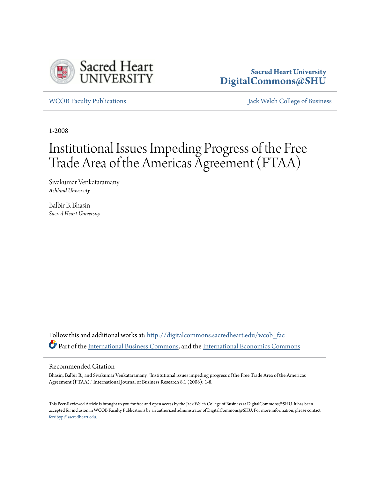

# **Sacred Heart University [DigitalCommons@SHU](http://digitalcommons.sacredheart.edu?utm_source=digitalcommons.sacredheart.edu%2Fwcob_fac%2F110&utm_medium=PDF&utm_campaign=PDFCoverPages)**

[WCOB Faculty Publications](http://digitalcommons.sacredheart.edu/wcob_fac?utm_source=digitalcommons.sacredheart.edu%2Fwcob_fac%2F110&utm_medium=PDF&utm_campaign=PDFCoverPages) [Jack Welch College of Business](http://digitalcommons.sacredheart.edu/wcob?utm_source=digitalcommons.sacredheart.edu%2Fwcob_fac%2F110&utm_medium=PDF&utm_campaign=PDFCoverPages)

1-2008

# Institutional Issues Impeding Progress of the Free Trade Area of the Americas Agreement (FTAA)

Sivakumar Venkataramany *Ashland University*

Balbir B. Bhasin *Sacred Heart University*

Follow this and additional works at: [http://digitalcommons.sacredheart.edu/wcob\\_fac](http://digitalcommons.sacredheart.edu/wcob_fac?utm_source=digitalcommons.sacredheart.edu%2Fwcob_fac%2F110&utm_medium=PDF&utm_campaign=PDFCoverPages) Part of the [International Business Commons](http://network.bepress.com/hgg/discipline/634?utm_source=digitalcommons.sacredheart.edu%2Fwcob_fac%2F110&utm_medium=PDF&utm_campaign=PDFCoverPages), and the [International Economics Commons](http://network.bepress.com/hgg/discipline/348?utm_source=digitalcommons.sacredheart.edu%2Fwcob_fac%2F110&utm_medium=PDF&utm_campaign=PDFCoverPages)

# Recommended Citation

Bhasin, Balbir B., and Sivakumar Venkataramany. "Institutional issues impeding progress of the Free Trade Area of the Americas Agreement (FTAA)." International Journal of Business Research 8.1 (2008): 1-8.

This Peer-Reviewed Article is brought to you for free and open access by the Jack Welch College of Business at DigitalCommons@SHU. It has been accepted for inclusion in WCOB Faculty Publications by an authorized administrator of DigitalCommons@SHU. For more information, please contact [ferribyp@sacredheart.edu](mailto:ferribyp@sacredheart.edu).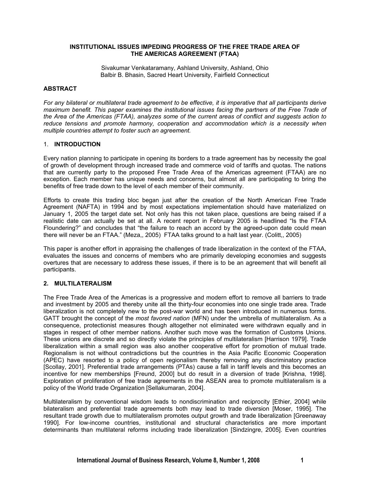# **INSTITUTIONAL ISSUES IMPEDING PROGRESS OF THE FREE TRADE AREA OF THE AMERICAS AGREEMENT (FTAA)**

Sivakumar Venkataramany, Ashland University, Ashland, Ohio Balbir B. Bhasin, Sacred Heart University, Fairfield Connecticut

# **ABSTRACT**

*For any bilateral or multilateral trade agreement to be effective, it is imperative that all participants derive maximum benefit. This paper examines the institutional issues facing the partners of the Free Trade of the Area of the Americas (FTAA), analyzes some of the current areas of conflict and suggests action to reduce tensions and promote harmony, cooperation and accommodation which is a necessity when multiple countries attempt to foster such an agreement.* 

## 1. **INTRODUCTION**

Every nation planning to participate in opening its borders to a trade agreement has by necessity the goal of growth of development through increased trade and commerce void of tariffs and quotas. The nations that are currently party to the proposed Free Trade Area of the Americas agreement (FTAA) are no exception. Each member has unique needs and concerns, but almost all are participating to bring the benefits of free trade down to the level of each member of their community.

Efforts to create this trading bloc began just after the creation of the North American Free Trade Agreement (NAFTA) in 1994 and by most expectations implementation should have materialized on January 1, 2005 the target date set. Not only has this not taken place, questions are being raised if a realistic date can actually be set at all. A recent report in February 2005 is headlined "Is the FTAA Floundering?" and concludes that "the failure to reach an accord by the agreed-upon date could mean there will never be an FTAA." (Meza,, 2005) FTAA talks ground to a halt last year. (Colitt,, 2005)

This paper is another effort in appraising the challenges of trade liberalization in the context of the FTAA, evaluates the issues and concerns of members who are primarily developing economies and suggests overtures that are necessary to address these issues, if there is to be an agreement that will benefit all participants.

## **2. MULTILATERALISM**

The Free Trade Area of the Americas is a progressive and modern effort to remove all barriers to trade and investment by 2005 and thereby unite all the thirty-four economies into one single trade area. Trade liberalization is not completely new to the post-war world and has been introduced in numerous forms. GATT brought the concept of the *most favored nation* (MFN) under the umbrella of multilateralism. As a consequence, protectionist measures though altogether not eliminated were withdrawn equally and in stages in respect of other member nations. Another such move was the formation of Customs Unions. These unions are discrete and so directly violate the principles of multilateralism [Harrison 1979]. Trade liberalization within a small region was also another cooperative effort for promotion of mutual trade. Regionalism is not without contradictions but the countries in the Asia Pacific Economic Cooperation (APEC) have resorted to a policy of open regionalism thereby removing any discriminatory practice [Scollay, 2001]. Preferential trade arrangements (PTAs) cause a fall in tariff levels and this becomes an incentive for new memberships [Freund, 2000] but do result in a diversion of trade [Krishna, 1998]. Exploration of proliferation of free trade agreements in the ASEAN area to promote multilateralism is a policy of the World trade Organization [Sellakumaran, 2004].

Multilateralism by conventional wisdom leads to nondiscrimination and reciprocity [Ethier, 2004] while bilateralism and preferential trade agreements both may lead to trade diversion [Moser, 1995]. The resultant trade growth due to multilateralism promotes output growth and trade liberalization [Greenaway 1990]. For low-income countries, institutional and structural characteristics are more important determinants than multilateral reforms including trade liberalization [Sindzingre, 2005]. Even countries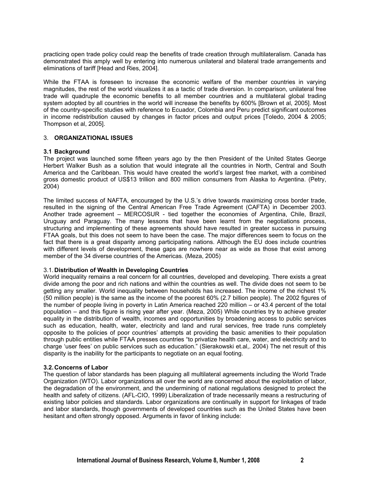practicing open trade policy could reap the benefits of trade creation through multilateralism. Canada has demonstrated this amply well by entering into numerous unilateral and bilateral trade arrangements and eliminations of tariff [Head and Ries, 2004].

While the FTAA is foreseen to increase the economic welfare of the member countries in varying magnitudes, the rest of the world visualizes it as a tactic of trade diversion. In comparison, unilateral free trade will quadruple the economic benefits to all member countries and a multilateral global trading system adopted by all countries in the world will increase the benefits by 600% [Brown et al, 2005]. Most of the country-specific studies with reference to Ecuador, Colombia and Peru predict significant outcomes in income redistribution caused by changes in factor prices and output prices [Toledo, 2004 & 2005; Thompson et al, 2005].

# 3. **ORGANIZATIONAL ISSUES**

# **3.1 Background**

The project was launched some fifteen years ago by the then President of the United States George Herbert Walker Bush as a solution that would integrate all the countries in North, Central and South America and the Caribbean. This would have created the world's largest free market, with a combined gross domestic product of US\$13 trillion and 800 million consumers from Alaska to Argentina. (Petry, 2004)

The limited success of NAFTA, encouraged by the U.S.'s drive towards maximizing cross border trade, resulted in the signing of the Central American Free Trade Agreement (CAFTA) in December 2003. Another trade agreement – MERCOSUR - tied together the economies of Argentina, Chile, Brazil, Uruguay and Paraguay. The many lessons that have been learnt from the negotiations process, structuring and implementing of these agreements should have resulted in greater success in pursuing FTAA goals, but this does not seem to have been the case. The major differences seem to focus on the fact that there is a great disparity among participating nations. Although the EU does include countries with different levels of development, these gaps are nowhere near as wide as those that exist among member of the 34 diverse countries of the Americas. (Meza, 2005)

## 3.1. **Distribution of Wealth in Developing Countries**

World inequality remains a real concern for all countries, developed and developing. There exists a great divide among the poor and rich nations and within the countries as well. The divide does not seem to be getting any smaller. World inequality between households has increased. The income of the richest 1% (50 million people) is the same as the income of the poorest 60% (2.7 billion people). The 2002 figures of the number of people living in poverty in Latin America reached 220 million – or 43.4 percent of the total population – and this figure is rising year after year. (Meza, 2005) While countries try to achieve greater equality in the distribution of wealth, incomes and opportunities by broadening access to public services such as education, health, water, electricity and land and rural services, free trade runs completely opposite to the policies of poor countries' attempts at providing the basic amenities to their population through public entities while FTAA presses countries "to privatize health care, water, and electricity and to charge 'user fees' on public services such as education." (Sierakowski et.al,. 2004) The net result of this disparity is the inability for the participants to negotiate on an equal footing.

# **3.2. Concerns of Labor**

The question of labor standards has been plaguing all multilateral agreements including the World Trade Organization (WTO). Labor organizations all over the world are concerned about the exploitation of labor, the degradation of the environment, and the undermining of national regulations designed to protect the health and safety of citizens. (AFL-CIO, 1999) Liberalization of trade necessarily means a restructuring of existing labor policies and standards. Labor organizations are continually in support for linkages of trade and labor standards, though governments of developed countries such as the United States have been hesitant and often strongly opposed. Arguments in favor of linking include: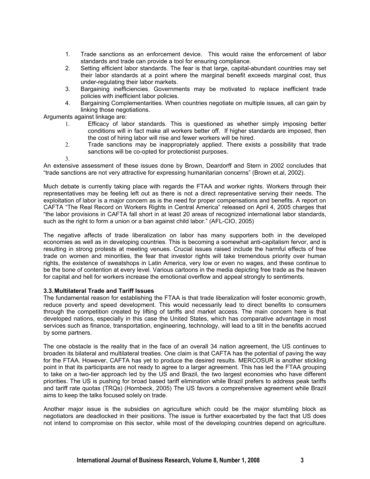- 1. Trade sanctions as an enforcement device. This would raise the enforcement of labor standards and trade can provide a tool for ensuring compliance.
- 2. Setting efficient labor standards. The fear is that large, capital-abundant countries may set their labor standards at a point where the marginal benefit exceeds marginal cost, thus under-regulating their labor markets.
- 3. Bargaining inefficiencies. Governments may be motivated to replace inefficient trade policies with inefficient labor policies.
- 4. Bargaining Complementarities. When countries negotiate on multiple issues, all can gain by linking those negotiations.

Arguments against linkage are:

- 1. Efficacy of labor standards. This is questioned as whether simply imposing better conditions will in fact make all workers better off. If higher standards are imposed, then the cost of hiring labor will rise and fewer workers will be hired.
- 2. Trade sanctions may be inappropriately applied. There exists a possibility that trade sanctions will be co-opted for protectionist purposes.
- 3.

An extensive assessment of these issues done by Brown, Deardorff and Stern in 2002 concludes that "trade sanctions are not very attractive for expressing humanitarian concerns" (Brown et.al, 2002).

Much debate is currently taking place with regards the FTAA and worker rights. Workers through their representatives may be feeling left out as there is not a direct representative serving their needs. The exploitation of labor is a major concern as is the need for proper compensations and benefits. A report on CAFTA "The Real Record on Workers Rights in Central America" released on April 4, 2005 charges that "the labor provisions in CAFTA fall short in at least 20 areas of recognized international labor standards, such as the right to form a union or a ban against child labor." (AFL-CIO, 2005)

The negative affects of trade liberalization on labor has many supporters both in the developed economies as well as in developing countries. This is becoming a somewhat anti-capitalism fervor, and is resulting in strong protests at meeting venues. Crucial issues raised include the harmful effects of free trade on women and minorities, the fear that investor rights will take tremendous priority over human rights, the existence of sweatshops in Latin America, very low or even no wages, and these continue to be the bone of contention at every level. Various cartoons in the media depicting free trade as the heaven for capital and hell for workers increase the emotional overflow and appeal strongly to sentiments.

## **3.3. Multilateral Trade and Tariff Issues**

The fundamental reason for establishing the FTAA is that trade liberalization will foster economic growth, reduce poverty and speed development. This would necessarily lead to direct benefits to consumers through the competition created by lifting of tariffs and market access. The main concern here is that developed nations, especially in this case the United States, which has comparative advantage in most services such as finance, transportation, engineering, technology, will lead to a tilt in the benefits accrued by some partners.

The one obstacle is the reality that in the face of an overall 34 nation agreement, the US continues to broaden its bilateral and multilateral treaties. One claim is that CAFTA has the potential of paving the way for the FTAA. However, CAFTA has yet to produce the desired results. MERCOSUR is another stickling point in that its participants are not ready to agree to a larger agreement. This has led the FTAA grouping to take on a two-tier approach led by the US and Brazil, the two largest economies who have different priorities. The US is pushing for broad based tariff elimination while Brazil prefers to address peak tariffs and tariff rate quotas (TRQs) (Hornbeck, 2005) The US favors a comprehensive agreement while Brazil aims to keep the talks focused solely on trade.

Another major issue is the subsidies on agriculture which could be the major stumbling block as negotiators are deadlocked in their positions. The issue is further exacerbated by the fact that US does not intend to compromise on this sector, while most of the developing countries depend on agriculture.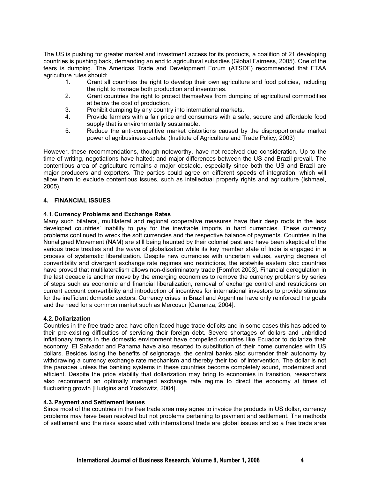The US is pushing for greater market and investment access for its products, a coalition of 21 developing countries is pushing back, demanding an end to agricultural subsidies (Global Fairness, 2005). One of the fears is dumping. The Americas Trade and Development Forum (ATSDF) recommended that FTAA agriculture rules should:

- 1. Grant all countries the right to develop their own agriculture and food policies, including the right to manage both production and inventories.
- 2. Grant countries the right to protect themselves from dumping of agricultural commodities at below the cost of production.
- 3. Prohibit dumping by any country into international markets.
- 4. Provide farmers with a fair price and consumers with a safe, secure and affordable food supply that is environmentally sustainable.
- 5. Reduce the anti-competitive market distortions caused by the disproportionate market power of agribusiness cartels. (Institute of Agriculture and Trade Policy, 2003)

However, these recommendations, though noteworthy, have not received due consideration. Up to the time of writing, negotiations have halted; and major differences between the US and Brazil prevail. The contentious area of agriculture remains a major obstacle, especially since both the US and Brazil are major producers and exporters. The parties could agree on different speeds of integration, which will allow them to exclude contentious issues, such as intellectual property rights and agriculture (Ishmael, 2005).

# **4. FINANCIAL ISSUES**

# 4.1. **Currency Problems and Exchange Rates**

Many such bilateral, multilateral and regional cooperative measures have their deep roots in the less developed countries' inability to pay for the inevitable imports in hard currencies. These currency problems continued to wreck the soft currencies and the respective balance of payments. Countries in the Nonaligned Movement (NAM) are still being haunted by their colonial past and have been skeptical of the various trade treaties and the wave of globalization while its key member state of India is engaged in a process of systematic liberalization. Despite new currencies with uncertain values, varying degrees of convertibility and divergent exchange rate regimes and restrictions, the erstwhile eastern bloc countries have proved that multilateralism allows non-discriminatory trade [Pomfret 2003]. Financial deregulation in the last decade is another move by the emerging economies to remove the currency problems by series of steps such as economic and financial liberalization, removal of exchange control and restrictions on current account convertibility and introduction of incentives for international investors to provide stimulus for the inefficient domestic sectors. Currency crises in Brazil and Argentina have only reinforced the goals and the need for a common market such as Mercosur [Carranza, 2004].

## **4.2. Dollarization**

Countries in the free trade area have often faced huge trade deficits and in some cases this has added to their pre-existing difficulties of servicing their foreign debt. Severe shortages of dollars and unbridled inflationary trends in the domestic environment have compelled countries like Ecuador to dollarize their economy. El Salvador and Panama have also resorted to substitution of their home currencies with US dollars. Besides losing the benefits of seignorage, the central banks also surrender their autonomy by withdrawing a currency exchange rate mechanism and thereby their tool of intervention. The dollar is not the panacea unless the banking systems in these countries become completely sound, modernized and efficient. Despite the price stability that dollarization may bring to economies in transition, researchers also recommend an optimally managed exchange rate regime to direct the economy at times of fluctuating growth [Hudgins and Yoskowitz, 2004].

## **4.3. Payment and Settlement Issues**

Since most of the countries in the free trade area may agree to invoice the products in US dollar, currency problems may have been resolved but not problems pertaining to payment and settlement. The methods of settlement and the risks associated with international trade are global issues and so a free trade area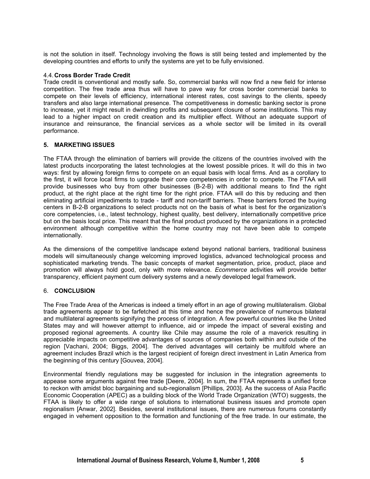is not the solution in itself. Technology involving the flows is still being tested and implemented by the developing countries and efforts to unify the systems are yet to be fully envisioned.

# 4.4. **Cross Border Trade Credit**

Trade credit is conventional and mostly safe. So, commercial banks will now find a new field for intense competition. The free trade area thus will have to pave way for cross border commercial banks to compete on their levels of efficiency, international interest rates, cost savings to the clients, speedy transfers and also large international presence. The competitiveness in domestic banking sector is prone to increase, yet it might result in dwindling profits and subsequent closure of some institutions. This may lead to a higher impact on credit creation and its multiplier effect. Without an adequate support of insurance and reinsurance, the financial services as a whole sector will be limited in its overall performance.

# **5. MARKETING ISSUES**

The FTAA through the elimination of barriers will provide the citizens of the countries involved with the latest products incorporating the latest technologies at the lowest possible prices. It will do this in two ways: first by allowing foreign firms to compete on an equal basis with local firms. And as a corollary to the first, it will force local firms to upgrade their core competencies in order to compete. The FTAA will provide businesses who buy from other businesses (B-2-B) with additional means to find the right product, at the right place at the right time for the right price. FTAA will do this by reducing and then eliminating artificial impediments to trade - tariff and non-tariff barriers. These barriers forced the buying centers in B-2-B organizations to select products not on the basis of what is best for the organization's core competencies, i.e., latest technology, highest quality, best delivery, internationally competitive price but on the basis local price. This meant that the final product produced by the organizations in a protected environment although competitive within the home country may not have been able to compete internationally.

As the dimensions of the competitive landscape extend beyond national barriers, traditional business models will simultaneously change welcoming improved logistics, advanced technological process and sophisticated marketing trends. The basic concepts of market segmentation, price, product, place and promotion will always hold good, only with more relevance. *Ecommerce* activities will provide better transparency, efficient payment cum delivery systems and a newly developed legal framework.

## 6. **CONCLUSION**

The Free Trade Area of the Americas is indeed a timely effort in an age of growing multilateralism. Global trade agreements appear to be farfetched at this time and hence the prevalence of numerous bilateral and multilateral agreements signifying the process of integration. A few powerful countries like the United States may and will however attempt to influence, aid or impede the impact of several existing and proposed regional agreements. A country like Chile may assume the role of a maverick resulting in appreciable impacts on competitive advantages of sources of companies both within and outside of the region [Vachani, 2004; Biggs, 2004]. The derived advantages will certainly be multifold where an agreement includes Brazil which is the largest recipient of foreign direct investment in Latin America from the beginning of this century [Gouvea, 2004].

Environmental friendly regulations may be suggested for inclusion in the integration agreements to appease some arguments against free trade [Deere, 2004]. In sum, the FTAA represents a unified force to reckon with amidst bloc bargaining and sub-regionalism [Phillips, 2003]. As the success of Asia Pacific Economic Cooperation (APEC) as a building block of the World Trade Organization (WTO) suggests, the FTAA is likely to offer a wide range of solutions to international business issues and promote open regionalism [Anwar, 2002]. Besides, several institutional issues, there are numerous forums constantly engaged in vehement opposition to the formation and functioning of the free trade. In our estimate, the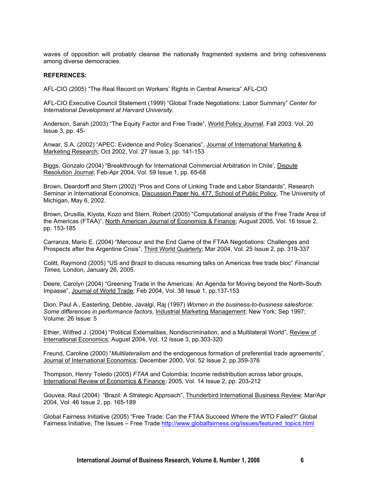waves of opposition will probably cleanse the nationally fragmented systems and bring cohesiveness among diverse democracies.

#### **REFERENCES:**

AFL-CIO (2005) "The Real Record on Workers' Rights in Central America" AFL-CIO

AFL-CIO Executive Council Statement (1999) "Global Trade Negotiations: Labor Summary" *Center for International Development at Harvard University.* 

Anderson, Sarah (2003) "The Equity Factor and Free Trade", World Policy Journal, Fall 2003, Vol. 20 Issue 3, pp. 45-

Anwar, S.A. (2002) "APEC: Evidence and Policy Scenarios", Journal of International Marketing & Marketing Research; Oct 2002, Vol. 27 Issue 3, pp. 141-153

Biggs, Gonzalo (2004) "Breakthrough for International Commercial Arbitration In Chile', Dispute Resolution Journal; Feb-Apr 2004, Vol. 59 Issue 1, pp. 65-68

Brown, Deardorff and Stern (2002) "Pros and Cons of Linking Trade and Labor Standards", Research Seminar in International Economics, Discussion Paper No. 477, School of Public Policy, The University of Michigan, May 6, 2002.

Brown, Drusilla, Kiyota, Kozo and Stern, Robert (2005) "Computational analysis of the Free Trade Area of the Americas (FTAA)", North American Journal of Economics & Finance; August 2005, Vol. 16 Issue 2, pp. 153-185

Carranza, Mario E. (2004) "Mercosur and the End Game of the FTAA Negotiations: Challenges and Prospects after the Argentine Crisis", Third World Quarterly; Mar 2004, Vol. 25 Issue 2, pp. 319-337

Colitt, Raymond (2005) "US and Brazil to discuss resuming talks on Americas free trade bloc" *Financial Times,* London, January 26, 2005.

Deere, Carolyn (2004) "Greening Trade in the Americas: An Agenda for Moving beyond the North-South Impasse", Journal of World Trade; Feb 2004, Vol. 38 Issue 1, pp.137-153

Dion, Paul A., Easterling, Debbie, Javalgi, Raj (1997) *Women in the business-to-business salesforce: Some differences in performance factors,* Industrial Marketing Management; New York; Sep 1997; Volume: 26 Issue: 5

Ethier, Wilfred J. (2004) "Political Externalities, Nondiscrimination, and a Multilateral World", Review of International Economics; August 2004, Vol. 12 Issue 3, pp.303-320

Freund, Caroline (2000) "*Multilateralism* and the endogenous formation of preferential trade agreements", Journal of International Economics; December 2000, Vol. 52 Issue 2, pp.359-376

Thompson, Henry, Toledo (2005) *FTAA* and Colombia: Income redistribution across labor groups, International Review of Economics & Finance; 2005, Vol. 14 Issue 2, pp. 203-212

Gouvea, Raul (2004) "Brazil: A Strategic Approach", Thunderbird International Business Review; Mar/Apr 2004, Vol. 46 Issue 2, pp. 165-189

Global Fairness Initiative (2005) "Free Trade: Can the FTAA Succeed Where the WTO Failed?" Global Fairness Initiative, The Issues – Free Trade http://www.globalfairness.org/issues/featured\_topics.html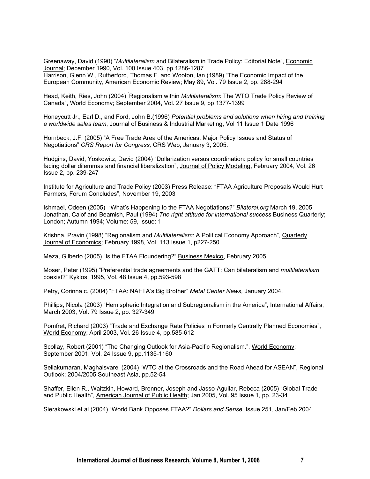Greenaway, David (1990) "*Multilateralism* and Bilateralism in Trade Policy: Editorial Note", Economic Journal; December 1990, Vol. 100 Issue 403, pp.1286-1287 Harrison, Glenn W., Rutherford, Thomas F. and Wooton, Ian (1989) "The Economic Impact of the European Community, American Economic Review; May 89, Vol. 79 Issue 2, pp. 288-294

Head, Keith, Ries, John (2004) <sup>"</sup>Regionalism within *Multilateralism*: The WTO Trade Policy Review of Canada", World Economy; September 2004, Vol. 27 Issue 9, pp.1377-1399

Honeycutt Jr., Earl D., and Ford, John B.(1996) *Potential problems and solutions when hiring and training a worldwide sales team*, Journal of Business & Industrial Marketing, Vol 11 Issue 1 Date 1996

Hornbeck, J.F. (2005) "A Free Trade Area of the Americas: Major Policy Issues and Status of Negotiations" *CRS Report for Congress,* CRS Web, January 3, 2005.

Hudgins, David, Yoskowitz, David (2004) "Dollarization versus coordination: policy for small countries facing dollar dilemmas and financial liberalization", Journal of Policy Modeling, February 2004, Vol. 26 Issue 2, pp. 239-247

Institute for Agriculture and Trade Policy (2003) Press Release: "FTAA Agriculture Proposals Would Hurt Farmers, Forum Concludes", November 19, 2003

Ishmael, Odeen (2005) "What's Happening to the FTAA Negotiations?" *Bilateral.org* March 19, 2005 Jonathan, Calof and Beamish, Paul (1994) *The right attitude for international success* Business Quarterly; London; Autumn 1994; Volume: 59, Issue: 1

Krishna, Pravin (1998) "Regionalism and *Multilateralism*: A Political Economy Approach", Quarterly Journal of Economics; February 1998, Vol. 113 Issue 1, p227-250

Meza, Gilberto (2005) "Is the FTAA Floundering?" Business Mexico, February 2005.

Moser, Peter (1995) "Preferential trade agreements and the GATT: Can bilateralism and *multilateralism* coexist?" Kyklos; 1995, Vol. 48 Issue 4, pp.593-598

Petry, Corinna c. (2004) "FTAA: NAFTA's Big Brother" *Metal Center News,* January 2004.

Phillips, Nicola (2003) "Hemispheric Integration and Subregionalism in the America", International Affairs; March 2003, Vol. 79 Issue 2, pp. 327-349

Pomfret, Richard (2003) "Trade and Exchange Rate Policies in Formerly Centrally Planned Economies", World Economy; April 2003, Vol. 26 Issue 4, pp.585-612

Scollay, Robert (2001) "The Changing Outlook for Asia-Pacific Regionalism.", World Economy; September 2001, Vol. 24 Issue 9, pp.1135-1160

Sellakumaran, Maghalsvarel (2004) "WTO at the Crossroads and the Road Ahead for ASEAN", Regional Outlook; 2004/2005 Southeast Asia, pp.52-54

Shaffer, Ellen R., Waitzkin, Howard, Brenner, Joseph and Jasso-Aguilar, Rebeca (2005) "Global Trade and Public Health", American Journal of Public Health; Jan 2005, Vol. 95 Issue 1, pp. 23-34

Sierakowski et.al (2004) "World Bank Opposes FTAA?" *Dollars and Sense,* Issue 251, Jan/Feb 2004.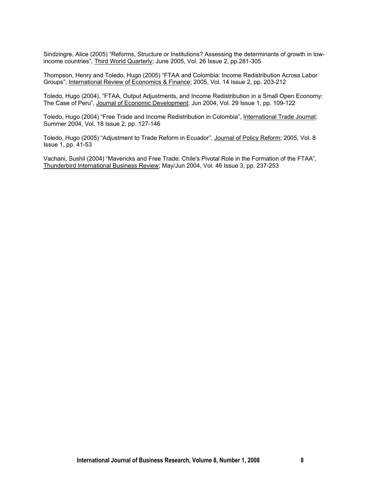Sindzingre, Alice (2005) "Reforms, Structure or Institutions? Assessing the determinants of growth in lowincome countries", Third World Quarterly; June 2005, Vol. 26 Issue 2, pp.281-305

Thompson, Henry and Toledo, Hugo (2005) "FTAA and Colombia: Income Redistribution Across Labor Groups", International Review of Economics & Finance; 2005, Vol. 14 Issue 2, pp. 203-212

Toledo, Hugo (2004), "FTAA, Output Adjustments, and Income Redistribution in a Small Open Economy: The Case of Peru", Journal of Economic Development; Jun 2004, Vol. 29 Issue 1, pp. 109-122

Toledo, Hugo (2004) "Free Trade and Income Redistribution in Colombia", International Trade Journal; Summer 2004, Vol. 18 Issue 2, pp. 127-146

Toledo, Hugo (2005) "Adjustment to Trade Reform in Ecuador", Journal of Policy Reform; 2005, Vol. 8 Issue 1, pp. 41-53

Vachani, Sushil (2004) "Mavericks and Free Trade: Chile's Pivotal Role in the Formation of the FTAA", Thunderbird International Business Review; May/Jun 2004, Vol. 46 Issue 3, pp. 237-253